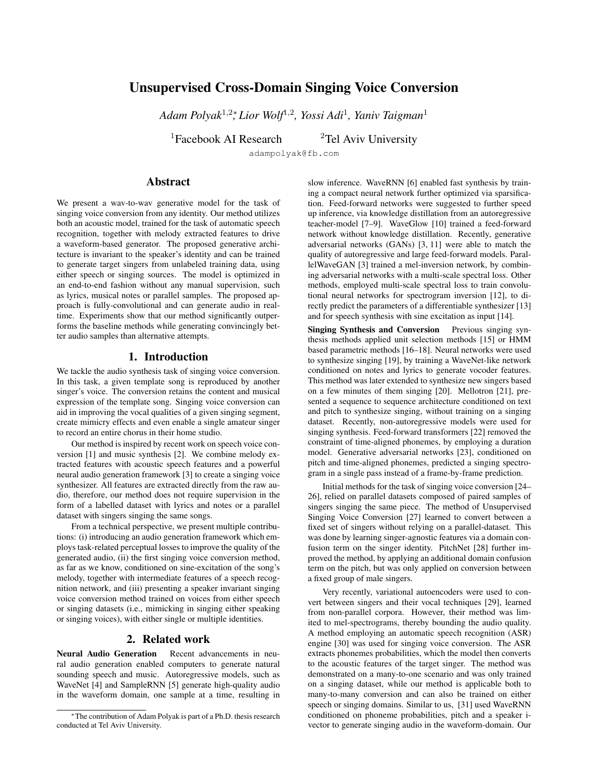# Unsupervised Cross-Domain Singing Voice Conversion

*Adam Polyak*<sup>1</sup>,2<sup>∗</sup> *, Lior Wolf*<sup>1</sup>,<sup>2</sup> *, Yossi Adi*<sup>1</sup> *, Yaniv Taigman*<sup>1</sup>

<sup>1</sup>Facebook AI Research <sup>2</sup>Tel Aviv University

adampolyak@fb.com

# Abstract

We present a wav-to-wav generative model for the task of singing voice conversion from any identity. Our method utilizes both an acoustic model, trained for the task of automatic speech recognition, together with melody extracted features to drive a waveform-based generator. The proposed generative architecture is invariant to the speaker's identity and can be trained to generate target singers from unlabeled training data, using either speech or singing sources. The model is optimized in an end-to-end fashion without any manual supervision, such as lyrics, musical notes or parallel samples. The proposed approach is fully-convolutional and can generate audio in realtime. Experiments show that our method significantly outperforms the baseline methods while generating convincingly better audio samples than alternative attempts.

### 1. Introduction

We tackle the audio synthesis task of singing voice conversion. In this task, a given template song is reproduced by another singer's voice. The conversion retains the content and musical expression of the template song. Singing voice conversion can aid in improving the vocal qualities of a given singing segment, create mimicry effects and even enable a single amateur singer to record an entire chorus in their home studio.

Our method is inspired by recent work on speech voice conversion [1] and music synthesis [2]. We combine melody extracted features with acoustic speech features and a powerful neural audio generation framework [3] to create a singing voice synthesizer. All features are extracted directly from the raw audio, therefore, our method does not require supervision in the form of a labelled dataset with lyrics and notes or a parallel dataset with singers singing the same songs.

From a technical perspective, we present multiple contributions: (i) introducing an audio generation framework which employs task-related perceptual losses to improve the quality of the generated audio, (ii) the first singing voice conversion method, as far as we know, conditioned on sine-excitation of the song's melody, together with intermediate features of a speech recognition network, and (iii) presenting a speaker invariant singing voice conversion method trained on voices from either speech or singing datasets (i.e., mimicking in singing either speaking or singing voices), with either single or multiple identities.

### 2. Related work

Neural Audio Generation Recent advancements in neural audio generation enabled computers to generate natural sounding speech and music. Autoregressive models, such as WaveNet [4] and SampleRNN [5] generate high-quality audio in the waveform domain, one sample at a time, resulting in slow inference. WaveRNN [6] enabled fast synthesis by training a compact neural network further optimized via sparsification. Feed-forward networks were suggested to further speed up inference, via knowledge distillation from an autoregressive teacher-model [7–9]. WaveGlow [10] trained a feed-forward network without knowledge distillation. Recently, generative adversarial networks (GANs) [3, 11] were able to match the quality of autoregressive and large feed-forward models. ParallelWaveGAN [3] trained a mel-inversion network, by combining adversarial networks with a multi-scale spectral loss. Other methods, employed multi-scale spectral loss to train convolutional neural networks for spectrogram inversion [12], to directly predict the parameters of a differentiable synthesizer [13] and for speech synthesis with sine excitation as input [14].

Singing Synthesis and Conversion Previous singing synthesis methods applied unit selection methods [15] or HMM based parametric methods [16–18]. Neural networks were used to synthesize singing [19], by training a WaveNet-like network conditioned on notes and lyrics to generate vocoder features. This method was later extended to synthesize new singers based on a few minutes of them singing [20]. Mellotron [21], presented a sequence to sequence architecture conditioned on text and pitch to synthesize singing, without training on a singing dataset. Recently, non-autoregressive models were used for singing synthesis. Feed-forward transformers [22] removed the constraint of time-aligned phonemes, by employing a duration model. Generative adversarial networks [23], conditioned on pitch and time-aligned phonemes, predicted a singing spectrogram in a single pass instead of a frame-by-frame prediction.

Initial methods for the task of singing voice conversion [24– 26], relied on parallel datasets composed of paired samples of singers singing the same piece. The method of Unsupervised Singing Voice Conversion [27] learned to convert between a fixed set of singers without relying on a parallel-dataset. This was done by learning singer-agnostic features via a domain confusion term on the singer identity. PitchNet [28] further improved the method, by applying an additional domain confusion term on the pitch, but was only applied on conversion between a fixed group of male singers.

Very recently, variational autoencoders were used to convert between singers and their vocal techniques [29], learned from non-parallel corpora. However, their method was limited to mel-spectrograms, thereby bounding the audio quality. A method employing an automatic speech recognition (ASR) engine [30] was used for singing voice conversion. The ASR extracts phonemes probabilities, which the model then converts to the acoustic features of the target singer. The method was demonstrated on a many-to-one scenario and was only trained on a singing dataset, while our method is applicable both to many-to-many conversion and can also be trained on either speech or singing domains. Similar to us, [31] used WaveRNN conditioned on phoneme probabilities, pitch and a speaker ivector to generate singing audio in the waveform-domain. Our

<sup>∗</sup>The contribution of Adam Polyak is part of a Ph.D. thesis research conducted at Tel Aviv University.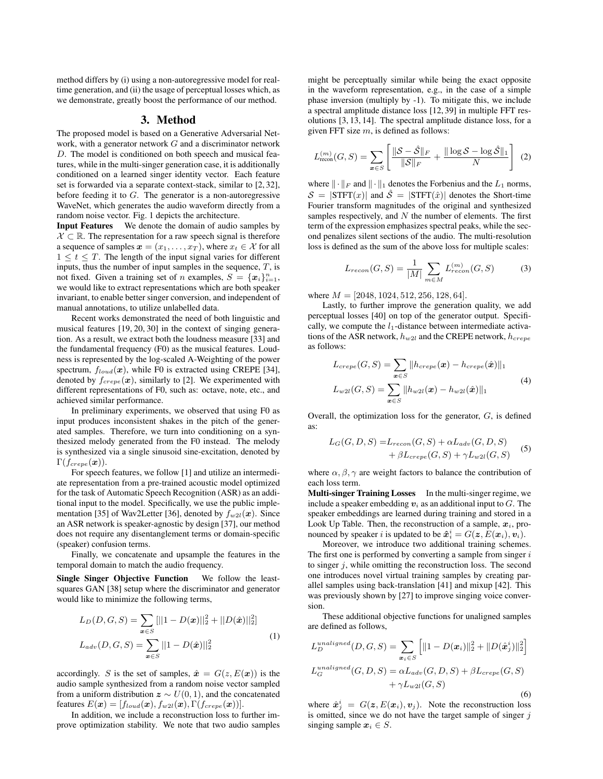method differs by (i) using a non-autoregressive model for realtime generation, and (ii) the usage of perceptual losses which, as we demonstrate, greatly boost the performance of our method.

#### 3. Method

The proposed model is based on a Generative Adversarial Network, with a generator network  $G$  and a discriminator network D. The model is conditioned on both speech and musical features, while in the multi-singer generation case, it is additionally conditioned on a learned singer identity vector. Each feature set is forwarded via a separate context-stack, similar to [2, 32], before feeding it to  $G$ . The generator is a non-autoregressive WaveNet, which generates the audio waveform directly from a random noise vector. Fig. 1 depicts the architecture.

Input Features We denote the domain of audio samples by  $X \subset \mathbb{R}$ . The representation for a raw speech signal is therefore a sequence of samples  $x = (x_1, \ldots, x_T)$ , where  $x_t \in \mathcal{X}$  for all  $1 \leq t \leq T$ . The length of the input signal varies for different inputs, thus the number of input samples in the sequence,  $T$ , is not fixed. Given a training set of *n* examples,  $S = \{x_i\}_{i=1}^n$ , we would like to extract representations which are both speaker invariant, to enable better singer conversion, and independent of manual annotations, to utilize unlabelled data.

Recent works demonstrated the need of both linguistic and musical features [19, 20, 30] in the context of singing generation. As a result, we extract both the loudness measure [33] and the fundamental frequency (F0) as the musical features. Loudness is represented by the log-scaled A-Weighting of the power spectrum,  $f_{load}(x)$ , while F0 is extracted using CREPE [34], denoted by  $f_{crepe}(\mathbf{x})$ , similarly to [2]. We experimented with different representations of F0, such as: octave, note, etc., and achieved similar performance.

In preliminary experiments, we observed that using F0 as input produces inconsistent shakes in the pitch of the generated samples. Therefore, we turn into conditioning on a synthesized melody generated from the F0 instead. The melody is synthesized via a single sinusoid sine-excitation, denoted by  $\Gamma(f_{crepe}(\boldsymbol{x})).$ 

For speech features, we follow [1] and utilize an intermediate representation from a pre-trained acoustic model optimized for the task of Automatic Speech Recognition (ASR) as an additional input to the model. Specifically, we use the public implementation [35] of Wav2Letter [36], denoted by  $f_{w2l}(\boldsymbol{x})$ . Since an ASR network is speaker-agnostic by design [37], our method does not require any disentanglement terms or domain-specific (speaker) confusion terms.

Finally, we concatenate and upsample the features in the temporal domain to match the audio frequency.

Single Singer Objective Function We follow the leastsquares GAN [38] setup where the discriminator and generator would like to minimize the following terms,

$$
L_D(D, G, S) = \sum_{\mathbf{x} \in S} [||1 - D(\mathbf{x})||_2^2 + ||D(\hat{\mathbf{x}})||_2^2]
$$
  

$$
L_{adv}(D, G, S) = \sum_{\mathbf{x} \in S} ||1 - D(\hat{\mathbf{x}})||_2^2
$$
 (1)

accordingly. S is the set of samples,  $\hat{x} = G(z, E(x))$  is the audio sample synthesized from a random noise vector sampled from a uniform distribution  $z \sim U(0, 1)$ , and the concatenated features  $E(\boldsymbol{x}) = [f_{load}(\boldsymbol{x}), f_{w2l}(\boldsymbol{x}), \Gamma(f_{crepe}(\boldsymbol{x}))].$ 

In addition, we include a reconstruction loss to further improve optimization stability. We note that two audio samples might be perceptually similar while being the exact opposite in the waveform representation, e.g., in the case of a simple phase inversion (multiply by -1). To mitigate this, we include a spectral amplitude distance loss [12, 39] in multiple FFT resolutions [3, 13, 14]. The spectral amplitude distance loss, for a given FFT size  $m$ , is defined as follows:

$$
L_{\text{recon}}^{(m)}(G, S) = \sum_{\mathbf{x} \in S} \left[ \frac{\|\mathcal{S} - \hat{\mathcal{S}}\|_F}{\|\mathcal{S}\|_F} + \frac{\|\log \mathcal{S} - \log \hat{\mathcal{S}}\|_1}{N} \right] (2)
$$

where  $\|\cdot\|_F$  and  $\|\cdot\|_1$  denotes the Forbenius and the  $L_1$  norms,  $S = |\text{STFT}(x)|$  and  $\hat{S} = |\text{STFT}(\hat{x})|$  denotes the Short-time Fourier transform magnitudes of the original and synthesized samples respectively, and  $N$  the number of elements. The first term of the expression emphasizes spectral peaks, while the second penalizes silent sections of the audio. The multi-resolution loss is defined as the sum of the above loss for multiple scales:

$$
L_{recon}(G, S) = \frac{1}{|M|} \sum_{m \in M} L_{recon}^{(m)}(G, S) \tag{3}
$$

where  $M = [2048, 1024, 512, 256, 128, 64]$ .

Lastly, to further improve the generation quality, we add perceptual losses [40] on top of the generator output. Specifically, we compute the  $l_1$ -distance between intermediate activations of the ASR network,  $h_{w2l}$  and the CREPE network,  $h_{crepe}$ as follows:

$$
L_{crepe}(G, S) = \sum_{\boldsymbol{x} \in S} ||h_{crepe}(\boldsymbol{x}) - h_{crepe}(\hat{\boldsymbol{x}})||_1
$$
  

$$
L_{w2l}(G, S) = \sum_{\boldsymbol{x} \in S} ||h_{w2l}(\boldsymbol{x}) - h_{w2l}(\hat{\boldsymbol{x}})||_1
$$
 (4)

Overall, the optimization loss for the generator, G, is defined as:

$$
L_G(G, D, S) = L_{recon}(G, S) + \alpha L_{adv}(G, D, S)
$$
  
+  $\beta L_{crepe}(G, S) + \gamma L_{w2l}(G, S)$  (5)

where  $\alpha$ ,  $\beta$ ,  $\gamma$  are weight factors to balance the contribution of each loss term.

Multi-singer Training Losses In the multi-singer regime, we include a speaker embedding  $v_i$  as an additional input to  $G$ . The speaker embeddings are learned during training and stored in a Look Up Table. Then, the reconstruction of a sample,  $x_i$ , pronounced by speaker i is updated to be  $\bm{\hat{x}}_i^i = G(\bm{z}, \bar{E}(\bm{x}_i), \bm{v}_i)$ .

Moreover, we introduce two additional training schemes. The first one is performed by converting a sample from singer  $i$ to singer  $j$ , while omitting the reconstruction loss. The second one introduces novel virtual training samples by creating parallel samples using back-translation [41] and mixup [42]. This was previously shown by [27] to improve singing voice conversion.

These additional objective functions for unaligned samples are defined as follows,

$$
L_D^{unaligned}(D, G, S) = \sum_{\mathbf{x}_i \in S} \left[ ||1 - D(\mathbf{x}_i)||_2^2 + ||D(\hat{\mathbf{x}}_j^i)||_2^2 \right]
$$
  

$$
L_G^{unaligned}(G, D, S) = \alpha L_{adv}(G, D, S) + \beta L_{crepe}(G, S)
$$
  

$$
+ \gamma L_{w2l}(G, S)
$$
 (6)

where  $\hat{x}_j^i = G(z, E(x_i), v_j)$ . Note the reconstruction loss is omitted, since we do not have the target sample of singer  $j$ singing sample  $x_i \in S$ .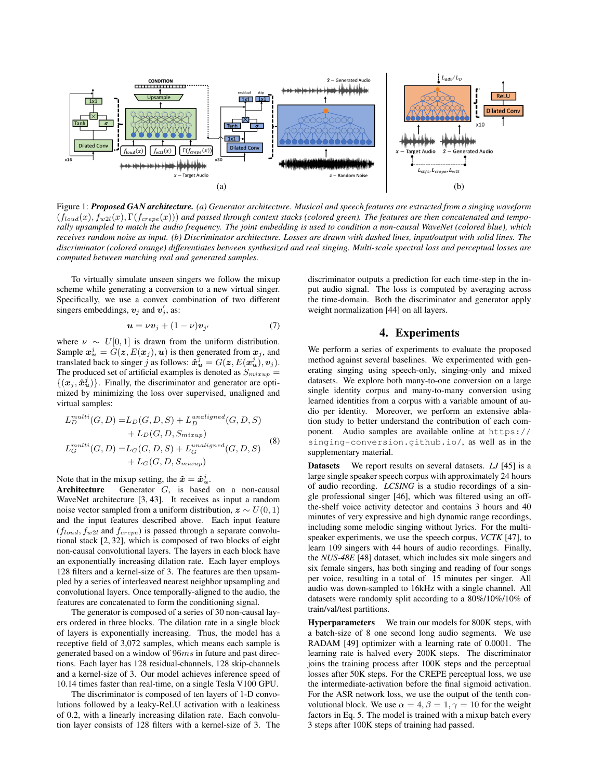

Figure 1: *Proposed GAN architecture. (a) Generator architecture. Musical and speech features are extracted from a singing waveform*  $(f_{toud}(x), f_{w2l}(x), \Gamma(f_{crepe}(x)))$  and passed through context stacks (colored green). The features are then concatenated and tempo*rally upsampled to match the audio frequency. The joint embedding is used to condition a non-causal WaveNet (colored blue), which receives random noise as input. (b) Discriminator architecture. Losses are drawn with dashed lines, input/output with solid lines. The discriminator (colored orange) differentiates between synthesized and real singing. Multi-scale spectral loss and perceptual losses are computed between matching real and generated samples.*

To virtually simulate unseen singers we follow the mixup scheme while generating a conversion to a new virtual singer. Specifically, we use a convex combination of two different singers embeddings,  $v_j$  and  $v'_j$ , as:

$$
\mathbf{u} = \nu \mathbf{v}_j + (1 - \nu) \mathbf{v}_{j'} \tag{7}
$$

where  $\nu \sim U[0, 1]$  is drawn from the uniform distribution. Sample  $x_{\boldsymbol{u}}^j = G(\boldsymbol{z},E(\boldsymbol{x}_j),\boldsymbol{u})$  is then generated from  $\boldsymbol{x}_j$ , and translated back to singer j as follows:  $\hat{x}_{u}^{j} = G(z, E(x_{u}^{j}), v_{j}).$ The produced set of artificial examples is denoted as  $S_{mixup}$  =  $\{(\boldsymbol{x}_j, \hat{\boldsymbol{x}}_{\boldsymbol{u}}^j)\}\$ . Finally, the discriminator and generator are optimized by minimizing the loss over supervised, unaligned and virtual samples:

$$
L_D^{multi}(G, D) = L_D(G, D, S) + L_D^{unaligned}(G, D, S)
$$
  
+ 
$$
L_D(G, D, S_{mixup})
$$
  

$$
L_G^{multi}(G, D) = L_G(G, D, S) + L_G^{unaligned}(G, D, S)
$$
  
+ 
$$
L_G(G, D, S_{mixup})
$$
 (8)

Note that in the mixup setting, the  $\hat{x} = \hat{x}_u^j$ .

 $\mathbf{r}$ 

Architecture Generator G, is based on a non-causal WaveNet architecture [3, 43]. It receives as input a random noise vector sampled from a uniform distribution,  $z \sim U(0, 1)$ and the input features described above. Each input feature  $(f_{loud}, f_{w2l}$  and  $f_{crepe})$  is passed through a separate convolutional stack [2, 32], which is composed of two blocks of eight non-causal convolutional layers. The layers in each block have an exponentially increasing dilation rate. Each layer employs 128 filters and a kernel-size of 3. The features are then upsampled by a series of interleaved nearest neighbor upsampling and convolutional layers. Once temporally-aligned to the audio, the features are concatenated to form the conditioning signal.

The generator is composed of a series of 30 non-causal layers ordered in three blocks. The dilation rate in a single block of layers is exponentially increasing. Thus, the model has a receptive field of 3,072 samples, which means each sample is generated based on a window of 96ms in future and past directions. Each layer has 128 residual-channels, 128 skip-channels and a kernel-size of 3. Our model achieves inference speed of 10.14 times faster than real-time, on a single Tesla V100 GPU.

The discriminator is composed of ten layers of 1-D convolutions followed by a leaky-ReLU activation with a leakiness of 0.2, with a linearly increasing dilation rate. Each convolution layer consists of 128 filters with a kernel-size of 3. The discriminator outputs a prediction for each time-step in the input audio signal. The loss is computed by averaging across the time-domain. Both the discriminator and generator apply weight normalization [44] on all layers.

# 4. Experiments

We perform a series of experiments to evaluate the proposed method against several baselines. We experimented with generating singing using speech-only, singing-only and mixed datasets. We explore both many-to-one conversion on a large single identity corpus and many-to-many conversion using learned identities from a corpus with a variable amount of audio per identity. Moreover, we perform an extensive ablation study to better understand the contribution of each component. Audio samples are available online at https:// singing-conversion.github.io/, as well as in the supplementary material.

Datasets We report results on several datasets. *LJ* [45] is a large single speaker speech corpus with approximately 24 hours of audio recording. *LCSING* is a studio recordings of a single professional singer [46], which was filtered using an offthe-shelf voice activity detector and contains 3 hours and 40 minutes of very expressive and high dynamic range recordings, including some melodic singing without lyrics. For the multispeaker experiments, we use the speech corpus, *VCTK* [47], to learn 109 singers with 44 hours of audio recordings. Finally, the *NUS-48E* [48] dataset, which includes six male singers and six female singers, has both singing and reading of four songs per voice, resulting in a total of 15 minutes per singer. All audio was down-sampled to 16kHz with a single channel. All datasets were randomly split according to a 80%/10%/10% of train/val/test partitions.

Hyperparameters We train our models for 800K steps, with a batch-size of 8 one second long audio segments. We use RADAM [49] optimizer with a learning rate of 0.0001. The learning rate is halved every 200K steps. The discriminator joins the training process after 100K steps and the perceptual losses after 50K steps. For the CREPE perceptual loss, we use the intermediate-activation before the final sigmoid activation. For the ASR network loss, we use the output of the tenth convolutional block. We use  $\alpha = 4, \beta = 1, \gamma = 10$  for the weight factors in Eq. 5. The model is trained with a mixup batch every 3 steps after 100K steps of training had passed.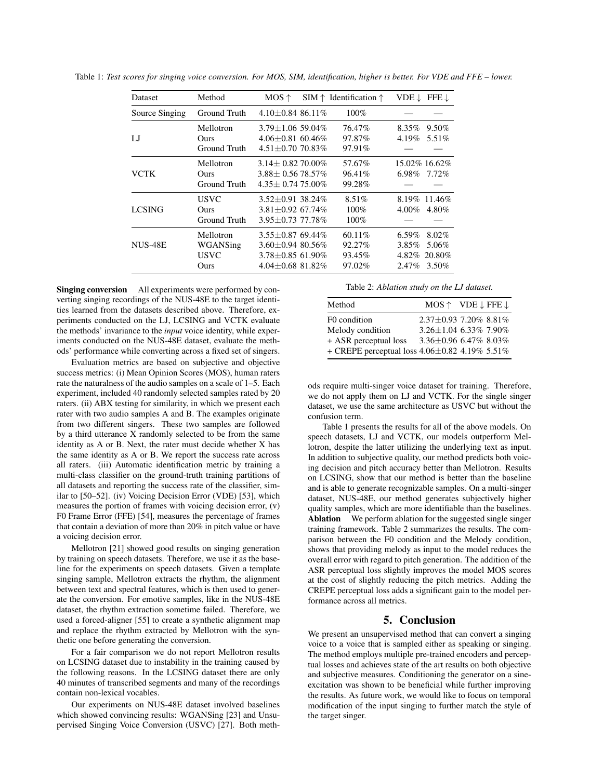| <b>Dataset</b> | Method                                   | $MOS \uparrow$                                                                                    | SIM $\uparrow$ Identification $\uparrow$ |                                           | VDE $\downarrow$ FFE $\downarrow$    |
|----------------|------------------------------------------|---------------------------------------------------------------------------------------------------|------------------------------------------|-------------------------------------------|--------------------------------------|
| Source Singing | Ground Truth                             | $4.10 + 0.84$ 86.11\%                                                                             | 100%                                     |                                           |                                      |
| IJ             | Mellotron<br>Ours<br>Ground Truth        | $3.79 + 1.06$ 59.04%<br>$4.06 \pm 0.81$ 60.46%<br>$4.51 \pm 0.70$ 70.83%                          | 76.47%<br>97.87%<br>97.91%               | 8.35%<br>4.19%                            | $9.50\%$<br>5.51\%                   |
| <b>VCTK</b>    | Mellotron<br><b>Ours</b><br>Ground Truth | $3.14 \pm 0.82$ 70.00%<br>$3.88 \pm 0.5678.57\%$<br>$4.35\pm0.7475.00\%$                          | 57.67%<br>96.41%<br>99.28%               | 6.98%                                     | 15.02% 16.62%<br>$7.72\%$            |
| <b>LCSING</b>  | <b>USVC</b><br>Ours<br>Ground Truth      | $3.52 \pm 0.91$ 38.24%<br>$3.81 + 0.92$ 67.74%<br>$3.95 + 0.73$ 77.78%                            | $8.51\%$<br>$100\%$<br>$100\%$           | $4.00\%$                                  | $8.19\%$ 11.46\%<br>4.80%            |
| NUS-48E        | Mellotron<br>WGANSing<br>USVC<br>Ours    | $3.55 \pm 0.87$ 69.44%<br>$3.60 \pm 0.94$ 80.56%<br>$3.78 + 0.85$ 61.90%<br>$4.04 + 0.68$ 81.82\% | 60.11%<br>92.27%<br>93.45%<br>97.02%     | $6.59\%$<br>$3.85\%$<br>4.82%<br>$2.47\%$ | $8.02\%$<br>5.06%<br>20.80%<br>3.50% |

Table 1: *Test scores for singing voice conversion. For MOS, SIM, identification, higher is better. For VDE and FFE – lower.*

Singing conversion All experiments were performed by converting singing recordings of the NUS-48E to the target identities learned from the datasets described above. Therefore, experiments conducted on the LJ, LCSING and VCTK evaluate the methods' invariance to the *input* voice identity, while experiments conducted on the NUS-48E dataset, evaluate the methods' performance while converting across a fixed set of singers.

Evaluation metrics are based on subjective and objective success metrics: (i) Mean Opinion Scores (MOS), human raters rate the naturalness of the audio samples on a scale of 1–5. Each experiment, included 40 randomly selected samples rated by 20 raters. (ii) ABX testing for similarity, in which we present each rater with two audio samples A and B. The examples originate from two different singers. These two samples are followed by a third utterance X randomly selected to be from the same identity as A or B. Next, the rater must decide whether X has the same identity as A or B. We report the success rate across all raters. (iii) Automatic identification metric by training a multi-class classifier on the ground-truth training partitions of all datasets and reporting the success rate of the classifier, similar to [50–52]. (iv) Voicing Decision Error (VDE) [53], which measures the portion of frames with voicing decision error, (v) F0 Frame Error (FFE) [54], measures the percentage of frames that contain a deviation of more than 20% in pitch value or have a voicing decision error.

Mellotron [21] showed good results on singing generation by training on speech datasets. Therefore, we use it as the baseline for the experiments on speech datasets. Given a template singing sample, Mellotron extracts the rhythm, the alignment between text and spectral features, which is then used to generate the conversion. For emotive samples, like in the NUS-48E dataset, the rhythm extraction sometime failed. Therefore, we used a forced-aligner [55] to create a synthetic alignment map and replace the rhythm extracted by Mellotron with the synthetic one before generating the conversion.

For a fair comparison we do not report Mellotron results on LCSING dataset due to instability in the training caused by the following reasons. In the LCSING dataset there are only 40 minutes of transcribed segments and many of the recordings contain non-lexical vocables.

Our experiments on NUS-48E dataset involved baselines which showed convincing results: WGANSing [23] and Unsupervised Singing Voice Conversion (USVC) [27]. Both methTable 2: *Ablation study on the LJ dataset.*

| Method                                              | $MOS \uparrow VDE \downarrow FFE \downarrow$         |  |
|-----------------------------------------------------|------------------------------------------------------|--|
| F0 condition                                        | $2.37\pm0.93$ 7.20% $8.81\%$                         |  |
| Melody condition<br>+ ASR perceptual loss           | $3.26 \pm 1.04$ 6.33% 7.90%<br>3.36±0.96 6.47% 8.03% |  |
| + CREPE perceptual loss $4.06 \pm 0.82$ 4.19% 5.51% |                                                      |  |

ods require multi-singer voice dataset for training. Therefore, we do not apply them on LJ and VCTK. For the single singer dataset, we use the same architecture as USVC but without the confusion term.

Table 1 presents the results for all of the above models. On speech datasets, LJ and VCTK, our models outperform Mellotron, despite the latter utilizing the underlying text as input. In addition to subjective quality, our method predicts both voicing decision and pitch accuracy better than Mellotron. Results on LCSING, show that our method is better than the baseline and is able to generate recognizable samples. On a multi-singer dataset, NUS-48E, our method generates subjectively higher quality samples, which are more identifiable than the baselines. Ablation We perform ablation for the suggested single singer training framework. Table 2 summarizes the results. The comparison between the F0 condition and the Melody condition, shows that providing melody as input to the model reduces the overall error with regard to pitch generation. The addition of the ASR perceptual loss slightly improves the model MOS scores at the cost of slightly reducing the pitch metrics. Adding the CREPE perceptual loss adds a significant gain to the model performance across all metrics.

#### 5. Conclusion

We present an unsupervised method that can convert a singing voice to a voice that is sampled either as speaking or singing. The method employs multiple pre-trained encoders and perceptual losses and achieves state of the art results on both objective and subjective measures. Conditioning the generator on a sineexcitation was shown to be beneficial while further improving the results. As future work, we would like to focus on temporal modification of the input singing to further match the style of the target singer.